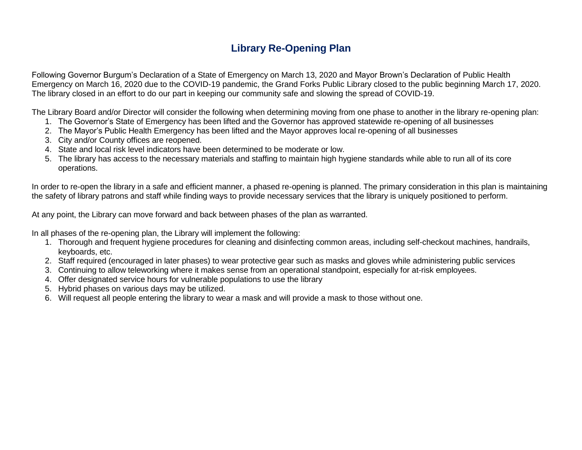## **Library Re-Opening Plan**

Following Governor Burgum's Declaration of a State of Emergency on March 13, 2020 and Mayor Brown's Declaration of Public Health Emergency on March 16, 2020 due to the COVID-19 pandemic, the Grand Forks Public Library closed to the public beginning March 17, 2020. The library closed in an effort to do our part in keeping our community safe and slowing the spread of COVID-19.

The Library Board and/or Director will consider the following when determining moving from one phase to another in the library re-opening plan:

- 1. The Governor's State of Emergency has been lifted and the Governor has approved statewide re-opening of all businesses
- 2. The Mayor's Public Health Emergency has been lifted and the Mayor approves local re-opening of all businesses
- 3. City and/or County offices are reopened.
- 4. State and local risk level indicators have been determined to be moderate or low.
- 5. The library has access to the necessary materials and staffing to maintain high hygiene standards while able to run all of its core operations.

In order to re-open the library in a safe and efficient manner, a phased re-opening is planned. The primary consideration in this plan is maintaining the safety of library patrons and staff while finding ways to provide necessary services that the library is uniquely positioned to perform.

At any point, the Library can move forward and back between phases of the plan as warranted.

In all phases of the re-opening plan, the Library will implement the following:

- 1. Thorough and frequent hygiene procedures for cleaning and disinfecting common areas, including self-checkout machines, handrails, keyboards, etc.
- 2. Staff required (encouraged in later phases) to wear protective gear such as masks and gloves while administering public services
- 3. Continuing to allow teleworking where it makes sense from an operational standpoint, especially for at-risk employees.
- 4. Offer designated service hours for vulnerable populations to use the library
- 5. Hybrid phases on various days may be utilized.
- 6. Will request all people entering the library to wear a mask and will provide a mask to those without one.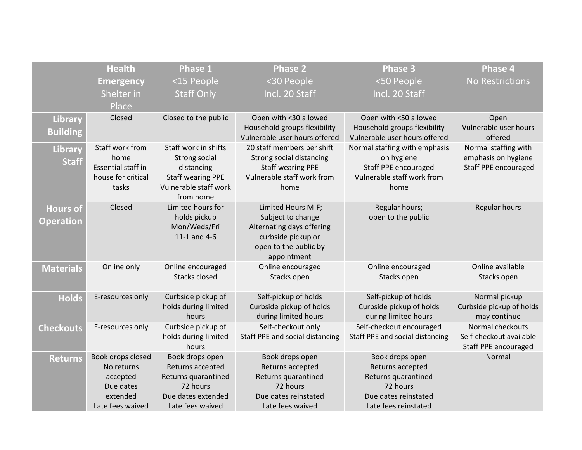|                  | <b>Health</b>       | <b>Phase 1</b>           | <b>Phase 2</b>                                                | Phase 3                                                       | <b>Phase 4</b>                   |
|------------------|---------------------|--------------------------|---------------------------------------------------------------|---------------------------------------------------------------|----------------------------------|
|                  | <b>Emergency</b>    | <15 People               | <30 People                                                    | <50 People                                                    | <b>No Restrictions</b>           |
|                  | Shelter in          | <b>Staff Only</b>        | Incl. 20 Staff                                                | Incl. 20 Staff                                                |                                  |
|                  |                     |                          |                                                               |                                                               |                                  |
|                  | Place               |                          |                                                               |                                                               |                                  |
| Library          | Closed              | Closed to the public     | Open with <30 allowed                                         | Open with <50 allowed                                         | Open                             |
| <b>Building</b>  |                     |                          | Household groups flexibility<br>Vulnerable user hours offered | Household groups flexibility<br>Vulnerable user hours offered | Vulnerable user hours<br>offered |
|                  | Staff work from     | Staff work in shifts     | 20 staff members per shift                                    | Normal staffing with emphasis                                 | Normal staffing with             |
| Library          | home                | Strong social            | Strong social distancing                                      | on hygiene                                                    | emphasis on hygiene              |
| <b>Staff</b>     | Essential staff in- | distancing               | <b>Staff wearing PPE</b>                                      | Staff PPE encouraged                                          | <b>Staff PPE encouraged</b>      |
|                  | house for critical  | <b>Staff wearing PPE</b> | Vulnerable staff work from                                    | Vulnerable staff work from                                    |                                  |
|                  | tasks               | Vulnerable staff work    | home                                                          | home                                                          |                                  |
|                  |                     | from home                |                                                               |                                                               |                                  |
| <b>Hours of</b>  | Closed              | Limited hours for        | Limited Hours M-F;                                            | Regular hours;                                                | Regular hours                    |
| <b>Operation</b> |                     | holds pickup             | Subject to change                                             | open to the public                                            |                                  |
|                  |                     | Mon/Weds/Fri             | Alternating days offering                                     |                                                               |                                  |
|                  |                     | 11-1 and 4-6             | curbside pickup or                                            |                                                               |                                  |
|                  |                     |                          | open to the public by                                         |                                                               |                                  |
|                  |                     |                          | appointment                                                   |                                                               |                                  |
| <b>Materials</b> | Online only         | Online encouraged        | Online encouraged                                             | Online encouraged                                             | Online available                 |
|                  |                     | Stacks closed            | Stacks open                                                   | Stacks open                                                   | Stacks open                      |
|                  | E-resources only    | Curbside pickup of       | Self-pickup of holds                                          | Self-pickup of holds                                          | Normal pickup                    |
| <b>Holds</b>     |                     | holds during limited     | Curbside pickup of holds                                      | Curbside pickup of holds                                      | Curbside pickup of holds         |
|                  |                     | hours                    | during limited hours                                          | during limited hours                                          | may continue                     |
| <b>Checkouts</b> | E-resources only    | Curbside pickup of       | Self-checkout only                                            | Self-checkout encouraged                                      | Normal checkouts                 |
|                  |                     | holds during limited     | Staff PPE and social distancing                               | Staff PPE and social distancing                               | Self-checkout available          |
|                  |                     | hours                    |                                                               |                                                               | Staff PPE encouraged             |
| <b>Returns</b>   | Book drops closed   | Book drops open          | Book drops open                                               | Book drops open                                               | Normal                           |
|                  | No returns          | Returns accepted         | Returns accepted                                              | Returns accepted                                              |                                  |
|                  | accepted            | Returns quarantined      | Returns quarantined                                           | Returns quarantined                                           |                                  |
|                  | Due dates           | 72 hours                 | 72 hours                                                      | 72 hours                                                      |                                  |
|                  | extended            | Due dates extended       | Due dates reinstated                                          | Due dates reinstated                                          |                                  |
|                  | Late fees waived    | Late fees waived         | Late fees waived                                              | Late fees reinstated                                          |                                  |